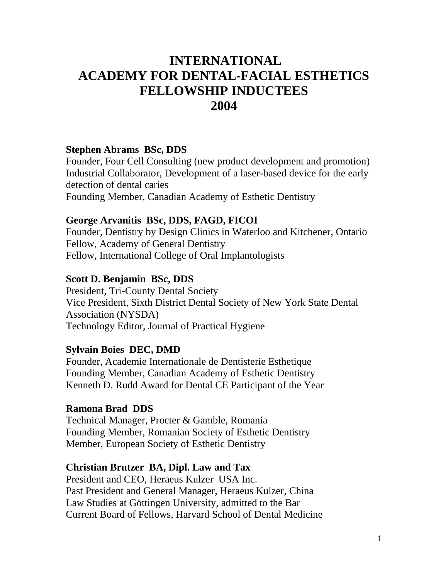# **INTERNATIONAL ACADEMY FOR DENTAL-FACIAL ESTHETICS FELLOWSHIP INDUCTEES 2004**

# **Stephen Abrams BSc, DDS**

Founder, Four Cell Consulting (new product development and promotion) Industrial Collaborator, Development of a laser-based device for the early detection of dental caries

Founding Member, Canadian Academy of Esthetic Dentistry

### **George Arvanitis BSc, DDS, FAGD, FICOI**

Founder, Dentistry by Design Clinics in Waterloo and Kitchener, Ontario Fellow, Academy of General Dentistry Fellow, International College of Oral Implantologists

# **Scott D. Benjamin BSc, DDS**

President, Tri-County Dental Society Vice President, Sixth District Dental Society of New York State Dental Association (NYSDA) Technology Editor, Journal of Practical Hygiene

# **Sylvain Boies DEC, DMD**

Founder, Academie Internationale de Dentisterie Esthetique Founding Member, Canadian Academy of Esthetic Dentistry Kenneth D. Rudd Award for Dental CE Participant of the Year

# **Ramona Brad DDS**

Technical Manager, Procter & Gamble, Romania Founding Member, Romanian Society of Esthetic Dentistry Member, European Society of Esthetic Dentistry

# **Christian Brutzer BA, Dipl. Law and Tax**

President and CEO, Heraeus Kulzer USA Inc. Past President and General Manager, Heraeus Kulzer, China Law Studies at Göttingen University, admitted to the Bar Current Board of Fellows, Harvard School of Dental Medicine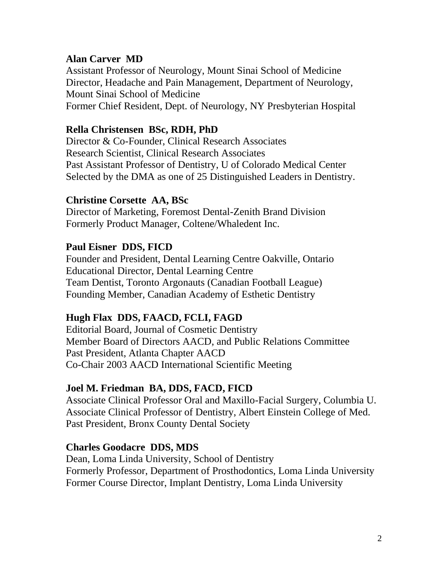### **Alan Carver MD**

Assistant Professor of Neurology, Mount Sinai School of Medicine Director, Headache and Pain Management, Department of Neurology, Mount Sinai School of Medicine Former Chief Resident, Dept. of Neurology, NY Presbyterian Hospital

# **Rella Christensen BSc, RDH, PhD**

Director & Co-Founder, Clinical Research Associates Research Scientist, Clinical Research Associates Past Assistant Professor of Dentistry, U of Colorado Medical Center Selected by the DMA as one of 25 Distinguished Leaders in Dentistry.

### **Christine Corsette AA, BSc**

Director of Marketing, Foremost Dental-Zenith Brand Division Formerly Product Manager, Coltene/Whaledent Inc.

### **Paul Eisner DDS, FICD**

Founder and President, Dental Learning Centre Oakville, Ontario Educational Director, Dental Learning Centre Team Dentist, Toronto Argonauts (Canadian Football League) Founding Member, Canadian Academy of Esthetic Dentistry

# **Hugh Flax DDS, FAACD, FCLI, FAGD**

Editorial Board, Journal of Cosmetic Dentistry Member Board of Directors AACD, and Public Relations Committee Past President, Atlanta Chapter AACD Co-Chair 2003 AACD International Scientific Meeting

#### **Joel M. Friedman BA, DDS, FACD, FICD**

Associate Clinical Professor Oral and Maxillo-Facial Surgery, Columbia U. Associate Clinical Professor of Dentistry, Albert Einstein College of Med. Past President, Bronx County Dental Society

#### **Charles Goodacre DDS, MDS**

Dean, Loma Linda University, School of Dentistry Formerly Professor, Department of Prosthodontics, Loma Linda University Former Course Director, Implant Dentistry, Loma Linda University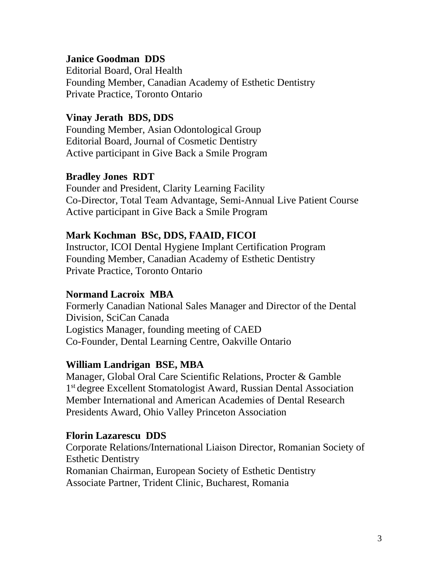### **Janice Goodman DDS**

Editorial Board, Oral Health Founding Member, Canadian Academy of Esthetic Dentistry Private Practice, Toronto Ontario

### **Vinay Jerath BDS, DDS**

Founding Member, Asian Odontological Group Editorial Board, Journal of Cosmetic Dentistry Active participant in Give Back a Smile Program

### **Bradley Jones RDT**

Founder and President, Clarity Learning Facility Co-Director, Total Team Advantage, Semi-Annual Live Patient Course Active participant in Give Back a Smile Program

#### **Mark Kochman BSc, DDS, FAAID, FICOI**

Instructor, ICOI Dental Hygiene Implant Certification Program Founding Member, Canadian Academy of Esthetic Dentistry Private Practice, Toronto Ontario

### **Normand Lacroix MBA**

Formerly Canadian National Sales Manager and Director of the Dental Division, SciCan Canada Logistics Manager, founding meeting of CAED Co-Founder, Dental Learning Centre, Oakville Ontario

# **William Landrigan BSE, MBA**

Manager, Global Oral Care Scientific Relations, Procter & Gamble 1<sup>st</sup> degree Excellent Stomatologist Award, Russian Dental Association Member International and American Academies of Dental Research Presidents Award, Ohio Valley Princeton Association

#### **Florin Lazarescu DDS**

Corporate Relations/International Liaison Director, Romanian Society of Esthetic Dentistry Romanian Chairman, European Society of Esthetic Dentistry Associate Partner, Trident Clinic, Bucharest, Romania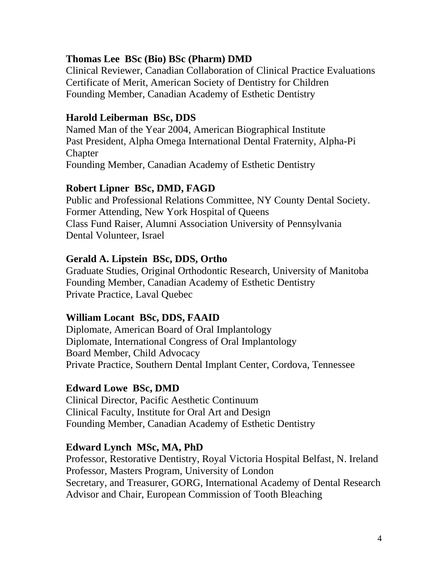# **Thomas Lee BSc (Bio) BSc (Pharm) DMD**

Clinical Reviewer, Canadian Collaboration of Clinical Practice Evaluations Certificate of Merit, American Society of Dentistry for Children Founding Member, Canadian Academy of Esthetic Dentistry

#### **Harold Leiberman BSc, DDS**

Named Man of the Year 2004, American Biographical Institute Past President, Alpha Omega International Dental Fraternity, Alpha-Pi **Chapter** Founding Member, Canadian Academy of Esthetic Dentistry

#### **Robert Lipner BSc, DMD, FAGD**

Public and Professional Relations Committee, NY County Dental Society. Former Attending, New York Hospital of Queens Class Fund Raiser, Alumni Association University of Pennsylvania Dental Volunteer, Israel

#### **Gerald A. Lipstein BSc, DDS, Ortho**

Graduate Studies, Original Orthodontic Research, University of Manitoba Founding Member, Canadian Academy of Esthetic Dentistry Private Practice, Laval Quebec

#### **William Locant BSc, DDS, FAAID**

Diplomate, American Board of Oral Implantology Diplomate, International Congress of Oral Implantology Board Member, Child Advocacy Private Practice, Southern Dental Implant Center, Cordova, Tennessee

#### **Edward Lowe BSc, DMD**

Clinical Director, Pacific Aesthetic Continuum Clinical Faculty, Institute for Oral Art and Design Founding Member, Canadian Academy of Esthetic Dentistry

#### **Edward Lynch MSc, MA, PhD**

Professor, Restorative Dentistry, Royal Victoria Hospital Belfast, N. Ireland Professor, Masters Program, University of London Secretary, and Treasurer, GORG, International Academy of Dental Research Advisor and Chair, European Commission of Tooth Bleaching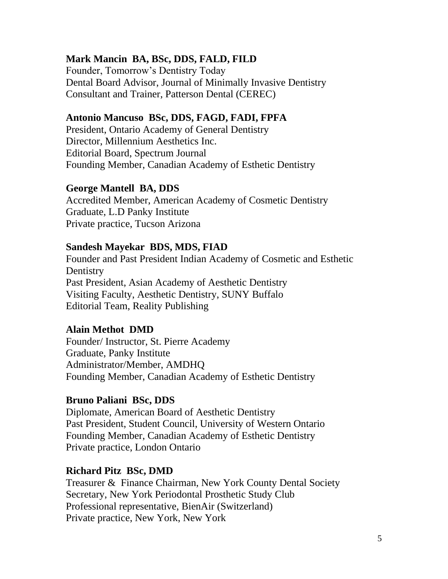# **Mark Mancin BA, BSc, DDS, FALD, FILD**

Founder, Tomorrow's Dentistry Today Dental Board Advisor, Journal of Minimally Invasive Dentistry Consultant and Trainer, Patterson Dental (CEREC)

# **Antonio Mancuso BSc, DDS, FAGD, FADI, FPFA**

President, Ontario Academy of General Dentistry Director, Millennium Aesthetics Inc. Editorial Board, Spectrum Journal Founding Member, Canadian Academy of Esthetic Dentistry

### **George Mantell BA, DDS**

Accredited Member, American Academy of Cosmetic Dentistry Graduate, L.D Panky Institute Private practice, Tucson Arizona

#### **Sandesh Mayekar BDS, MDS, FIAD**

Founder and Past President Indian Academy of Cosmetic and Esthetic **Dentistry** Past President, Asian Academy of Aesthetic Dentistry Visiting Faculty, Aesthetic Dentistry, SUNY Buffalo Editorial Team, Reality Publishing

#### **Alain Methot DMD**

Founder/ Instructor, St. Pierre Academy Graduate, Panky Institute Administrator/Member, AMDHQ Founding Member, Canadian Academy of Esthetic Dentistry

# **Bruno Paliani BSc, DDS**

Diplomate, American Board of Aesthetic Dentistry Past President, Student Council, University of Western Ontario Founding Member, Canadian Academy of Esthetic Dentistry Private practice, London Ontario

#### **Richard Pitz BSc, DMD**

Treasurer & Finance Chairman, New York County Dental Society Secretary, New York Periodontal Prosthetic Study Club Professional representative, BienAir (Switzerland) Private practice, New York, New York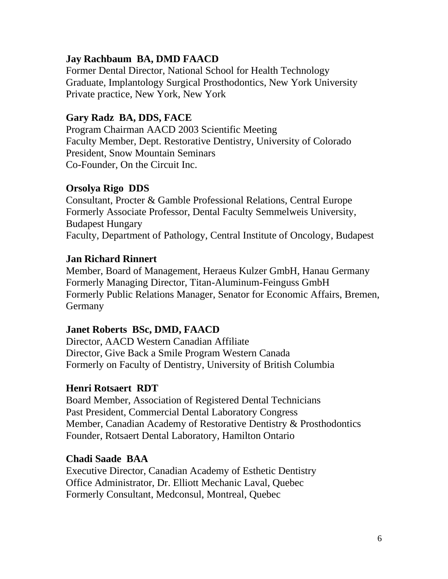# **Jay Rachbaum BA, DMD FAACD**

Former Dental Director, National School for Health Technology Graduate, Implantology Surgical Prosthodontics, New York University Private practice, New York, New York

# **Gary Radz BA, DDS, FACE**

Program Chairman AACD 2003 Scientific Meeting Faculty Member, Dept. Restorative Dentistry, University of Colorado President, Snow Mountain Seminars Co-Founder, On the Circuit Inc.

# **Orsolya Rigo DDS**

Consultant, Procter & Gamble Professional Relations, Central Europe Formerly Associate Professor, Dental Faculty Semmelweis University, Budapest Hungary Faculty, Department of Pathology, Central Institute of Oncology, Budapest

# **Jan Richard Rinnert**

Member, Board of Management, Heraeus Kulzer GmbH, Hanau Germany Formerly Managing Director, Titan-Aluminum-Feinguss GmbH Formerly Public Relations Manager, Senator for Economic Affairs, Bremen, **Germany** 

# **Janet Roberts BSc, DMD, FAACD**

Director, AACD Western Canadian Affiliate Director, Give Back a Smile Program Western Canada Formerly on Faculty of Dentistry, University of British Columbia

# **Henri Rotsaert RDT**

Board Member, Association of Registered Dental Technicians Past President, Commercial Dental Laboratory Congress Member, Canadian Academy of Restorative Dentistry & Prosthodontics Founder, Rotsaert Dental Laboratory, Hamilton Ontario

# **Chadi Saade BAA**

Executive Director, Canadian Academy of Esthetic Dentistry Office Administrator, Dr. Elliott Mechanic Laval, Quebec Formerly Consultant, Medconsul, Montreal, Quebec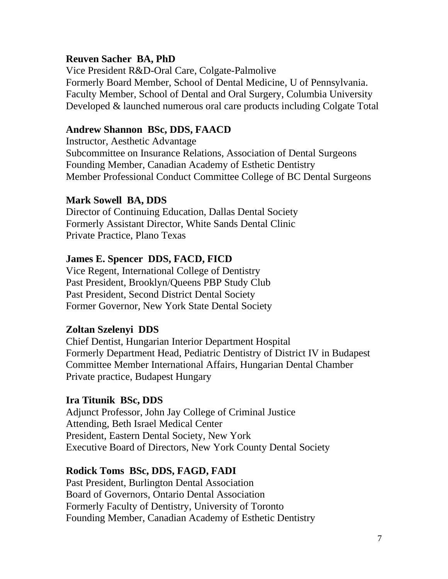### **Reuven Sacher BA, PhD**

Vice President R&D-Oral Care, Colgate-Palmolive Formerly Board Member, School of Dental Medicine, U of Pennsylvania. Faculty Member, School of Dental and Oral Surgery, Columbia University Developed & launched numerous oral care products including Colgate Total

### **Andrew Shannon BSc, DDS, FAACD**

Instructor, Aesthetic Advantage Subcommittee on Insurance Relations, Association of Dental Surgeons Founding Member, Canadian Academy of Esthetic Dentistry Member Professional Conduct Committee College of BC Dental Surgeons

### **Mark Sowell BA, DDS**

Director of Continuing Education, Dallas Dental Society Formerly Assistant Director, White Sands Dental Clinic Private Practice, Plano Texas

### **James E. Spencer DDS, FACD, FICD**

Vice Regent, International College of Dentistry Past President, Brooklyn/Queens PBP Study Club Past President, Second District Dental Society Former Governor, New York State Dental Society

#### **Zoltan Szelenyi DDS**

Chief Dentist, Hungarian Interior Department Hospital Formerly Department Head, Pediatric Dentistry of District IV in Budapest Committee Member International Affairs, Hungarian Dental Chamber Private practice, Budapest Hungary

#### **Ira Titunik BSc, DDS**

Adjunct Professor, John Jay College of Criminal Justice Attending, Beth Israel Medical Center President, Eastern Dental Society, New York Executive Board of Directors, New York County Dental Society

#### **Rodick Toms BSc, DDS, FAGD, FADI**

Past President, Burlington Dental Association Board of Governors, Ontario Dental Association Formerly Faculty of Dentistry, University of Toronto Founding Member, Canadian Academy of Esthetic Dentistry